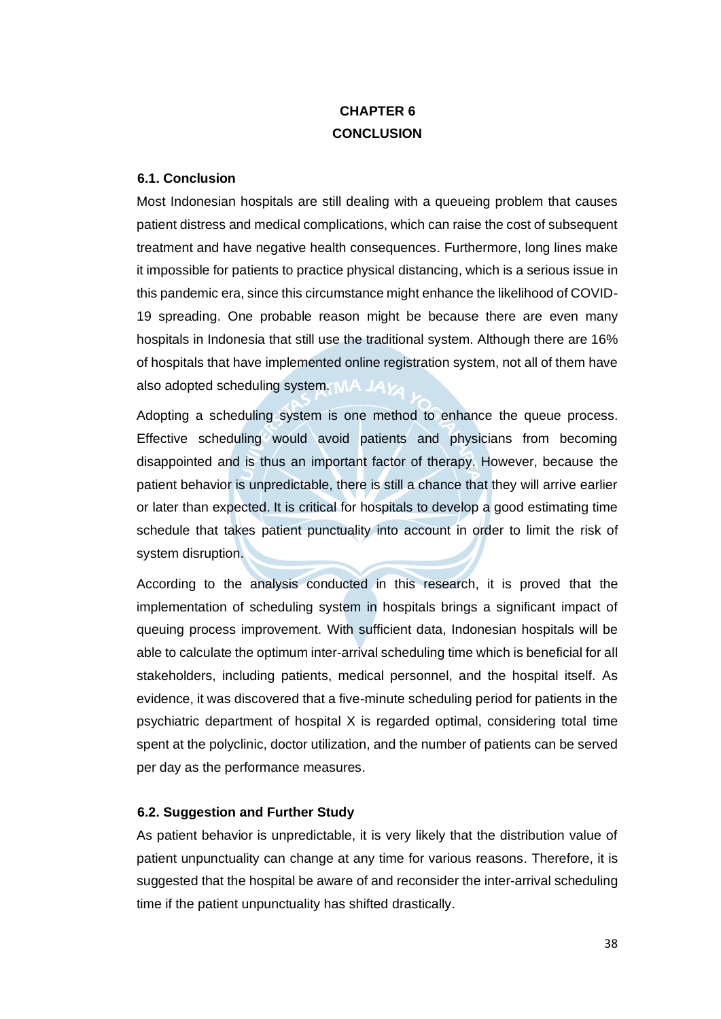## **CHAPTER 6 CONCLUSION**

## **6.1. Conclusion**

Most Indonesian hospitals are still dealing with a queueing problem that causes patient distress and medical complications, which can raise the cost of subsequent treatment and have negative health consequences. Furthermore, long lines make it impossible for patients to practice physical distancing, which is a serious issue in this pandemic era, since this circumstance might enhance the likelihood of COVID-19 spreading. One probable reason might be because there are even many hospitals in Indonesia that still use the traditional system. Although there are 16% of hospitals that have implemented online registration system, not all of them have also adopted scheduling system.  $MA$   $JAV$ 

Adopting a scheduling system is one method to enhance the queue process. Effective scheduling would avoid patients and physicians from becoming disappointed and is thus an important factor of therapy. However, because the patient behavior is unpredictable, there is still a chance that they will arrive earlier or later than expected. It is critical for hospitals to develop a good estimating time schedule that takes patient punctuality into account in order to limit the risk of system disruption.

According to the analysis conducted in this research, it is proved that the implementation of scheduling system in hospitals brings a significant impact of queuing process improvement. With sufficient data, Indonesian hospitals will be able to calculate the optimum inter-arrival scheduling time which is beneficial for all stakeholders, including patients, medical personnel, and the hospital itself. As evidence, it was discovered that a five-minute scheduling period for patients in the psychiatric department of hospital X is regarded optimal, considering total time spent at the polyclinic, doctor utilization, and the number of patients can be served per day as the performance measures.

## **6.2. Suggestion and Further Study**

As patient behavior is unpredictable, it is very likely that the distribution value of patient unpunctuality can change at any time for various reasons. Therefore, it is suggested that the hospital be aware of and reconsider the inter-arrival scheduling time if the patient unpunctuality has shifted drastically.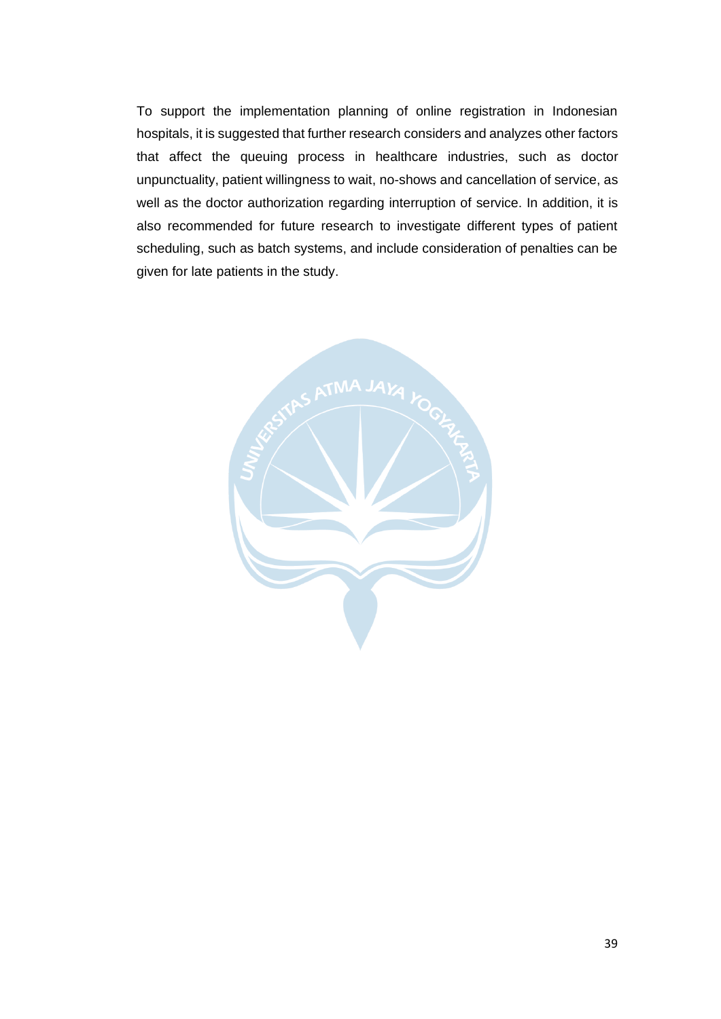To support the implementation planning of online registration in Indonesian hospitals, it is suggested that further research considers and analyzes other factors that affect the queuing process in healthcare industries, such as doctor unpunctuality, patient willingness to wait, no-shows and cancellation of service, as well as the doctor authorization regarding interruption of service. In addition, it is also recommended for future research to investigate different types of patient scheduling, such as batch systems, and include consideration of penalties can be given for late patients in the study.

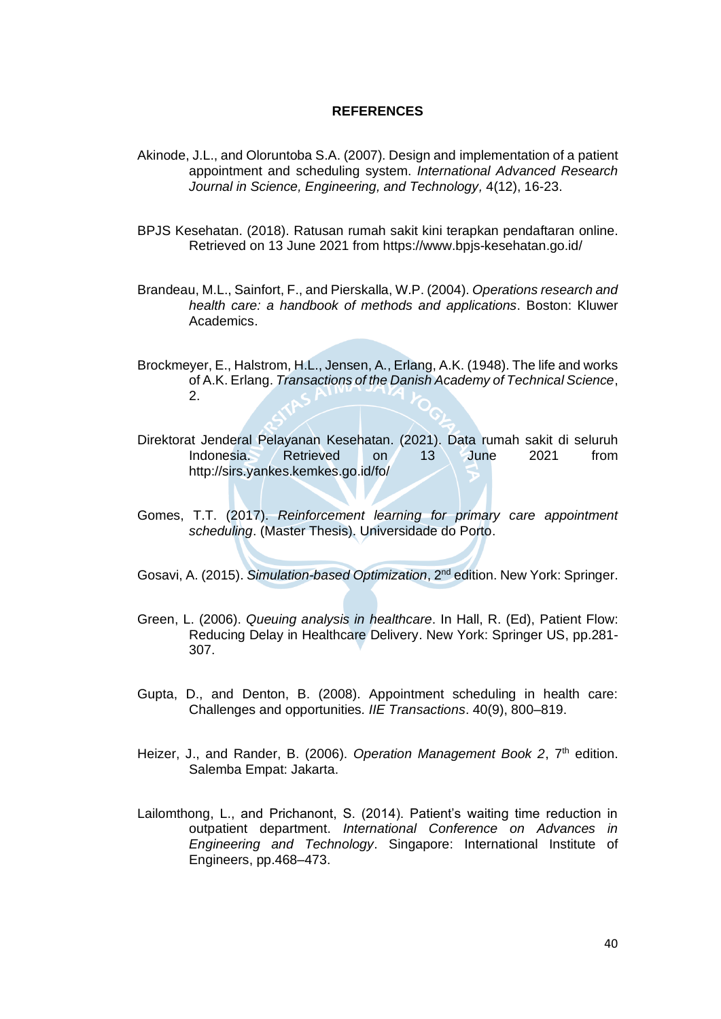## **REFERENCES**

- Akinode, J.L., and Oloruntoba S.A. (2007). Design and implementation of a patient appointment and scheduling system. *International Advanced Research Journal in Science, Engineering, and Technology,* 4(12), 16-23.
- BPJS Kesehatan. (2018). Ratusan rumah sakit kini terapkan pendaftaran online. Retrieved on 13 June 2021 from https://www.bpjs-kesehatan.go.id/
- Brandeau, M.L., Sainfort, F., and Pierskalla, W.P. (2004). *Operations research and health care: a handbook of methods and applications*. Boston: Kluwer Academics.
- Brockmeyer, E., Halstrom, H.L., Jensen, A., Erlang, A.K. (1948). The life and works of A.K. Erlang. *Transactions of the Danish Academy of Technical Science*, 2.
- Direktorat Jenderal Pelayanan Kesehatan. (2021). Data rumah sakit di seluruh Indonesia. Retrieved on 13 June 2021 from http://sirs.yankes.kemkes.go.id/fo/
- Gomes, T.T. (2017). *Reinforcement learning for primary care appointment scheduling*. (Master Thesis). Universidade do Porto.
- Gosavi, A. (2015). *Simulation-based Optimization*, 2nd edition. New York: Springer.
- Green, L. (2006). *Queuing analysis in healthcare*. In Hall, R. (Ed), Patient Flow: Reducing Delay in Healthcare Delivery. New York: Springer US, pp.281- 307.
- Gupta, D., and Denton, B. (2008). Appointment scheduling in health care: Challenges and opportunities*. IIE Transactions*. 40(9), 800–819.
- Heizer, J., and Rander, B. (2006). Operation Management Book 2, 7<sup>th</sup> edition. Salemba Empat: Jakarta.
- Lailomthong, L., and Prichanont, S. (2014). Patient's waiting time reduction in outpatient department. *International Conference on Advances in Engineering and Technology*. Singapore: International Institute of Engineers, pp.468–473.